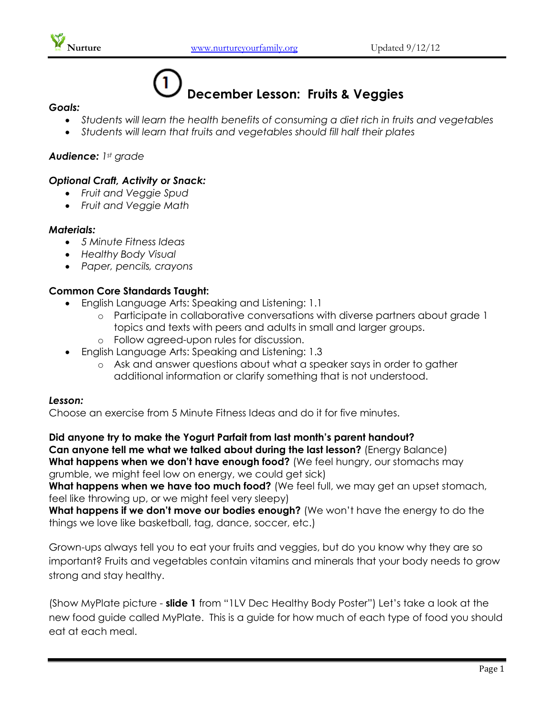

# **December Lesson: Fruits & Veggies**

#### *Goals:*

- *Students will learn the health benefits of consuming a diet rich in fruits and vegetables*
- *Students will learn that fruits and vegetables should fill half their plates*

## *Audience: 1st grade*

## *Optional Craft, Activity or Snack:*

- *Fruit and Veggie Spud*
- *Fruit and Veggie Math*

### *Materials:*

- *5 Minute Fitness Ideas*
- *Healthy Body Visual*
- *Paper, pencils, crayons*

# **Common Core Standards Taught:**

- English Language Arts: Speaking and Listening: 1.1
	- o Participate in collaborative conversations with diverse partners about grade 1 topics and texts with peers and adults in small and larger groups.
	- o Follow agreed-upon rules for discussion.
- English Language Arts: Speaking and Listening: 1.3
	- o Ask and answer questions about what a speaker says in order to gather additional information or clarify something that is not understood.

#### *Lesson:*

Choose an exercise from 5 Minute Fitness Ideas and do it for five minutes.

**Did anyone try to make the Yogurt Parfait from last month's parent handout? Can anyone tell me what we talked about during the last lesson?** (Energy Balance) **What happens when we don't have enough food?** (We feel hungry, our stomachs may grumble, we might feel low on energy, we could get sick)

What happens when we have too much food? (We feel full, we may get an upset stomach, feel like throwing up, or we might feel very sleepy)

What happens if we don't move our bodies enough? (We won't have the energy to do the things we love like basketball, tag, dance, soccer, etc.)

Grown-ups always tell you to eat your fruits and veggies, but do you know why they are so important? Fruits and vegetables contain vitamins and minerals that your body needs to grow strong and stay healthy.

(Show MyPlate picture - **slide 1** from "1LV Dec Healthy Body Poster") Let's take a look at the new food guide called MyPlate. This is a guide for how much of each type of food you should eat at each meal.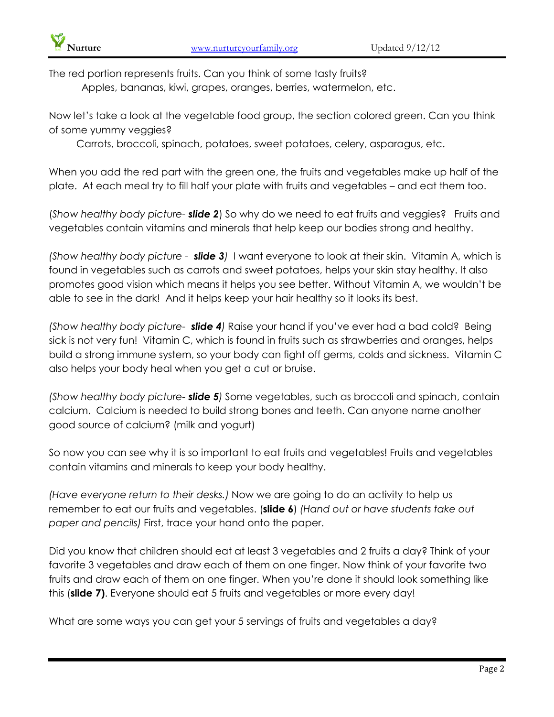The red portion represents fruits. Can you think of some tasty fruits?

Apples, bananas, kiwi, grapes, oranges, berries, watermelon, etc.

Now let's take a look at the vegetable food group, the section colored green. Can you think of some yummy veggies?

Carrots, broccoli, spinach, potatoes, sweet potatoes, celery, asparagus, etc.

When you add the red part with the green one, the fruits and vegetables make up half of the plate. At each meal try to fill half your plate with fruits and vegetables – and eat them too.

(*Show healthy body picture- slide 2*) So why do we need to eat fruits and veggies? Fruits and vegetables contain vitamins and minerals that help keep our bodies strong and healthy.

*(Show healthy body picture - slide 3)* I want everyone to look at their skin. Vitamin A, which is found in vegetables such as carrots and sweet potatoes, helps your skin stay healthy. It also promotes good vision which means it helps you see better. Without Vitamin A, we wouldn't be able to see in the dark! And it helps keep your hair healthy so it looks its best.

*(Show healthy body picture- slide 4)* Raise your hand if you've ever had a bad cold? Being sick is not very fun! Vitamin C, which is found in fruits such as strawberries and oranges, helps build a strong immune system, so your body can fight off germs, colds and sickness. Vitamin C also helps your body heal when you get a cut or bruise.

*(Show healthy body picture- slide 5)* Some vegetables, such as broccoli and spinach, contain calcium. Calcium is needed to build strong bones and teeth. Can anyone name another good source of calcium? (milk and yogurt)

So now you can see why it is so important to eat fruits and vegetables! Fruits and vegetables contain vitamins and minerals to keep your body healthy.

*(Have everyone return to their desks.)* Now we are going to do an activity to help us remember to eat our fruits and vegetables. (**slide 6**) *(Hand out or have students take out paper and pencils)* First, trace your hand onto the paper.

Did you know that children should eat at least 3 vegetables and 2 fruits a day? Think of your favorite 3 vegetables and draw each of them on one finger. Now think of your favorite two fruits and draw each of them on one finger. When you're done it should look something like this (**slide 7)**. Everyone should eat 5 fruits and vegetables or more every day!

What are some ways you can get your 5 servings of fruits and vegetables a day?